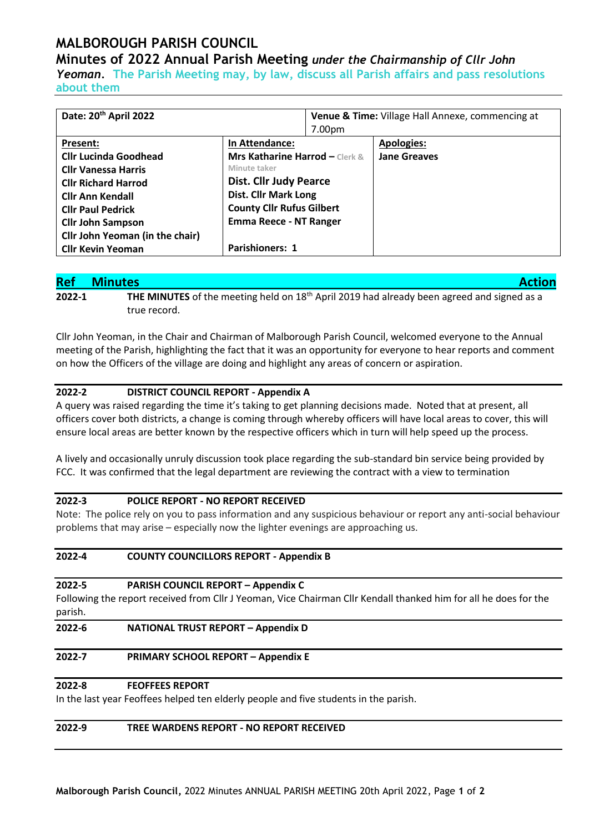## **MALBOROUGH PARISH COUNCIL**

### **Minutes of 2022 Annual Parish Meeting** *under the Chairmanship of Cllr John*

*Yeoman.* **The Parish Meeting may, by law, discuss all Parish affairs and pass resolutions about them**

| Date: 20 <sup>th</sup> April 2022 |                                           | Venue & Time: Village Hall Annexe, commencing at |                     |
|-----------------------------------|-------------------------------------------|--------------------------------------------------|---------------------|
|                                   |                                           | 7.00pm                                           |                     |
| Present:                          | In Attendance:                            |                                                  | <b>Apologies:</b>   |
| <b>Cllr Lucinda Goodhead</b>      | <b>Mrs Katharine Harrod - Clerk &amp;</b> |                                                  | <b>Jane Greaves</b> |
| <b>Cllr Vanessa Harris</b>        | Minute taker                              |                                                  |                     |
| <b>Cllr Richard Harrod</b>        | <b>Dist. Cllr Judy Pearce</b>             |                                                  |                     |
| <b>Cllr Ann Kendall</b>           | <b>Dist. Cllr Mark Long</b>               |                                                  |                     |
| <b>Cllr Paul Pedrick</b>          | <b>County Cllr Rufus Gilbert</b>          |                                                  |                     |
| <b>Cllr John Sampson</b>          | <b>Emma Reece - NT Ranger</b>             |                                                  |                     |
| Cllr John Yeoman (in the chair)   |                                           |                                                  |                     |
| <b>Cllr Kevin Yeoman</b>          | <b>Parishioners: 1</b>                    |                                                  |                     |

# **Ref Minutes Action**

**2022-1** THE MINUTES of the meeting held on 18<sup>th</sup> April 2019 had already been agreed and signed as a true record.

Cllr John Yeoman, in the Chair and Chairman of Malborough Parish Council, welcomed everyone to the Annual meeting of the Parish, highlighting the fact that it was an opportunity for everyone to hear reports and comment on how the Officers of the village are doing and highlight any areas of concern or aspiration.

#### **2022-2 DISTRICT COUNCIL REPORT - Appendix A**

A query was raised regarding the time it's taking to get planning decisions made. Noted that at present, all officers cover both districts, a change is coming through whereby officers will have local areas to cover, this will ensure local areas are better known by the respective officers which in turn will help speed up the process.

A lively and occasionally unruly discussion took place regarding the sub-standard bin service being provided by FCC. It was confirmed that the legal department are reviewing the contract with a view to termination

#### **2022-3 POLICE REPORT - NO REPORT RECEIVED**

Note: The police rely on you to pass information and any suspicious behaviour or report any anti-social behaviour problems that may arise – especially now the lighter evenings are approaching us.

#### **2022-4 COUNTY COUNCILLORS REPORT - Appendix B**

#### **2022-5 PARISH COUNCIL REPORT – Appendix C**

Following the report received from Cllr J Yeoman, Vice Chairman Cllr Kendall thanked him for all he does for the parish.

#### **2022-6 NATIONAL TRUST REPORT – Appendix D**

#### **2022-7 PRIMARY SCHOOL REPORT – Appendix E**

#### **2022-8 FEOFFEES REPORT**

In the last year Feoffees helped ten elderly people and five students in the parish.

| TREE WARDENS REPORT - NO REPORT RECEIVED<br>2022-9 |  |
|----------------------------------------------------|--|
|----------------------------------------------------|--|